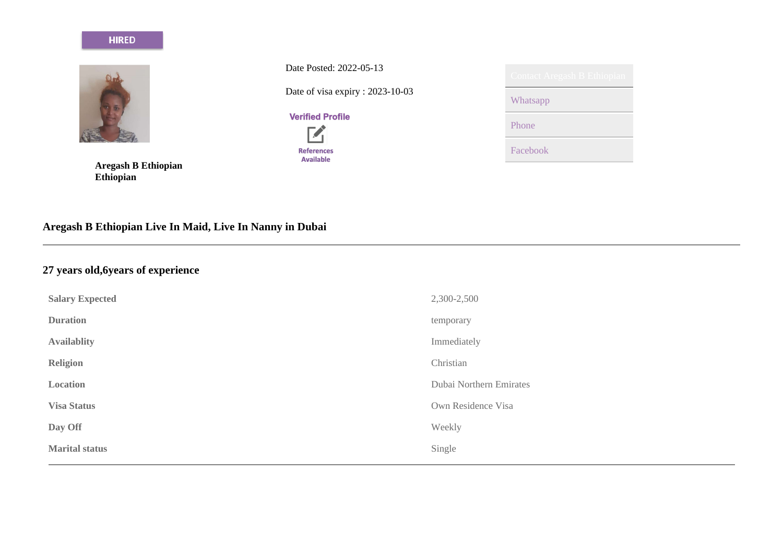#### **HIRED**



**Aregash B Ethiopian Ethiopian**

Date Posted: 2022-05-13

Date of visa expiry : 2023-10-03



**References** Available

| Contact Aregash B Ethiopian |
|-----------------------------|
| Whatsapp                    |
| Phone                       |
| Facebook                    |

# **Aregash B Ethiopian Live In Maid, Live In Nanny in Dubai**

# **27 years old,6years of experience**

| <b>Salary Expected</b> | 2,300-2,500             |
|------------------------|-------------------------|
| <b>Duration</b>        | temporary               |
| <b>Availablity</b>     | Immediately             |
| <b>Religion</b>        | Christian               |
| Location               | Dubai Northern Emirates |
| <b>Visa Status</b>     | Own Residence Visa      |
| Day Off                | Weekly                  |
| <b>Marital status</b>  | Single                  |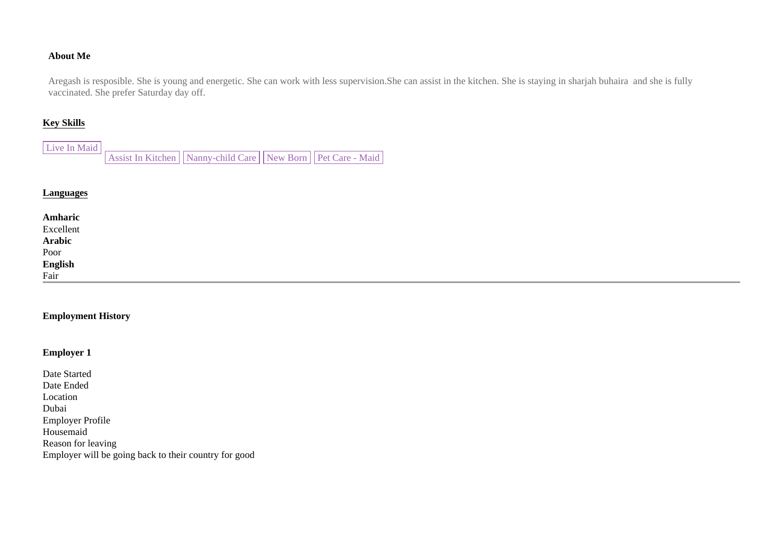## **About Me**

Aregash is resposible. She is young and energetic. She can work with less supervision.She can assist in the kitchen. She is staying in sharjah buhaira and she is fully vaccinated. She prefer Saturday day off.

# **Key Skills**

| Live In Maid                                                         |  |  |  |
|----------------------------------------------------------------------|--|--|--|
| Assist In Kitchen    Nanny-child Care    New Born    Pet Care - Maid |  |  |  |

#### **Languages**

| <b>Amharic</b><br>Excellent<br><b>Arabic</b><br>Poor<br><b>English</b><br>Fair |  |  |
|--------------------------------------------------------------------------------|--|--|

#### **Employment History**

# **Employer 1**

Date Started Date Ended Location Dubai Employer Profile Housemaid Reason for leaving Employer will be going back to their country for good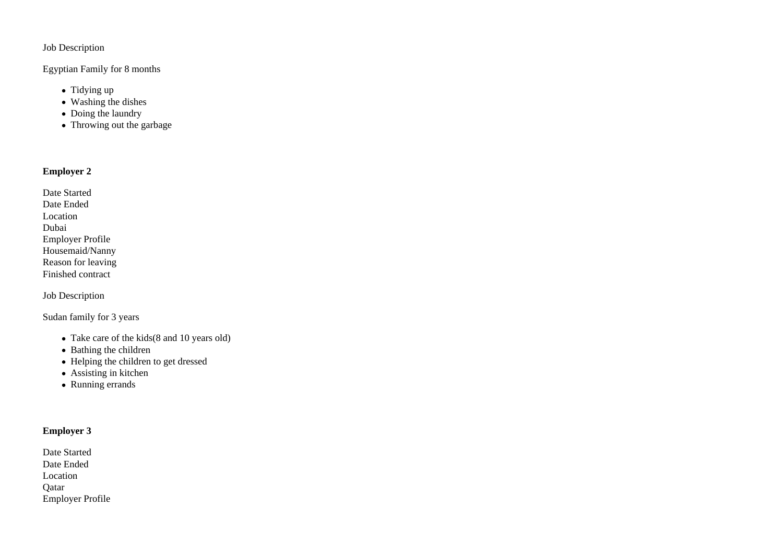## Job Description

## Egyptian Family for 8 months

- $\bullet$  Tidying up
- Washing the dishes
- Doing the laundry
- Throwing out the garbage

# **Employer 2**

| Date Started            |
|-------------------------|
| Date Ended              |
| Location                |
| Dubai                   |
| <b>Employer Profile</b> |
| Housemaid/Nanny         |
| Reason for leaving      |
| Finished contract       |

Job Description

Sudan family for 3 years

- Take care of the kids(8 and 10 years old)
- Bathing the children
- Helping the children to get dressed
- Assisting in kitchen
- Running errands

## **Employer 3**

| Date Started     |  |
|------------------|--|
| Date Ended       |  |
| Location         |  |
| Oatar            |  |
| Employer Profile |  |